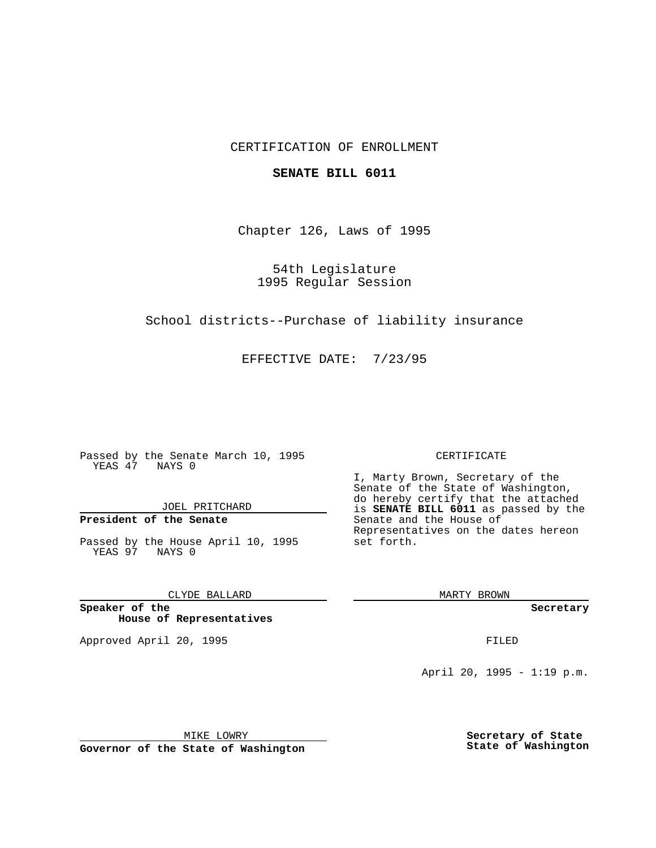# CERTIFICATION OF ENROLLMENT

### **SENATE BILL 6011**

Chapter 126, Laws of 1995

54th Legislature 1995 Regular Session

School districts--Purchase of liability insurance

EFFECTIVE DATE: 7/23/95

Passed by the Senate March 10, 1995 YEAS 47 NAYS 0

JOEL PRITCHARD

# **President of the Senate**

Passed by the House April 10, 1995 YEAS 97 NAYS 0

CLYDE BALLARD

**Speaker of the House of Representatives**

Approved April 20, 1995 FILED

#### CERTIFICATE

I, Marty Brown, Secretary of the Senate of the State of Washington, do hereby certify that the attached is **SENATE BILL 6011** as passed by the Senate and the House of Representatives on the dates hereon set forth.

MARTY BROWN

**Secretary**

April 20, 1995 - 1:19 p.m.

MIKE LOWRY

**Governor of the State of Washington**

**Secretary of State State of Washington**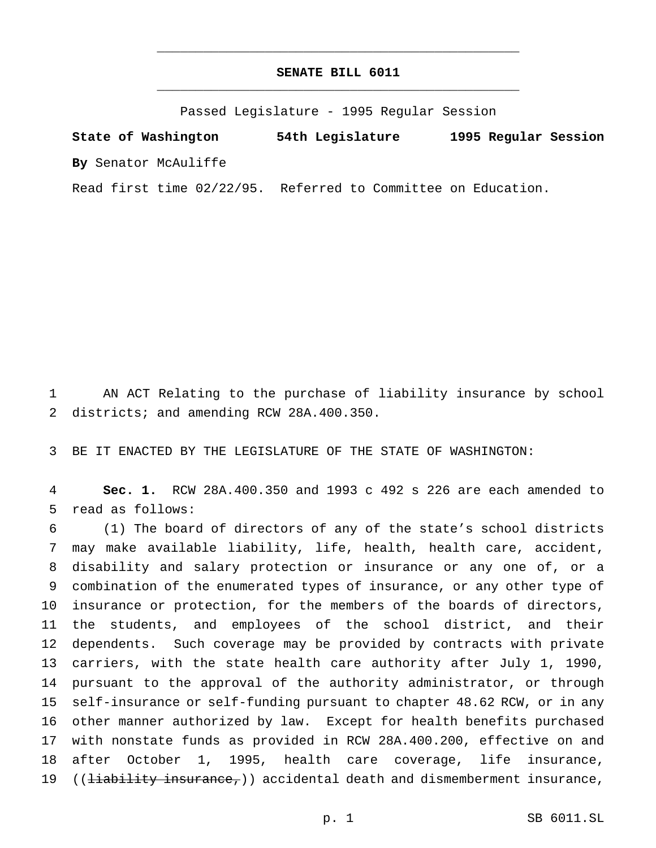# **SENATE BILL 6011** \_\_\_\_\_\_\_\_\_\_\_\_\_\_\_\_\_\_\_\_\_\_\_\_\_\_\_\_\_\_\_\_\_\_\_\_\_\_\_\_\_\_\_\_\_\_\_

\_\_\_\_\_\_\_\_\_\_\_\_\_\_\_\_\_\_\_\_\_\_\_\_\_\_\_\_\_\_\_\_\_\_\_\_\_\_\_\_\_\_\_\_\_\_\_

Passed Legislature - 1995 Regular Session

**State of Washington 54th Legislature 1995 Regular Session By** Senator McAuliffe

Read first time 02/22/95. Referred to Committee on Education.

 AN ACT Relating to the purchase of liability insurance by school 2 districts; and amending RCW 28A.400.350.

BE IT ENACTED BY THE LEGISLATURE OF THE STATE OF WASHINGTON:

 **Sec. 1.** RCW 28A.400.350 and 1993 c 492 s 226 are each amended to read as follows:

 (1) The board of directors of any of the state's school districts may make available liability, life, health, health care, accident, disability and salary protection or insurance or any one of, or a combination of the enumerated types of insurance, or any other type of insurance or protection, for the members of the boards of directors, the students, and employees of the school district, and their dependents. Such coverage may be provided by contracts with private carriers, with the state health care authority after July 1, 1990, pursuant to the approval of the authority administrator, or through self-insurance or self-funding pursuant to chapter 48.62 RCW, or in any other manner authorized by law. Except for health benefits purchased with nonstate funds as provided in RCW 28A.400.200, effective on and after October 1, 1995, health care coverage, life insurance, 19 ((<del>liability insurance,</del>)) accidental death and dismemberment insurance,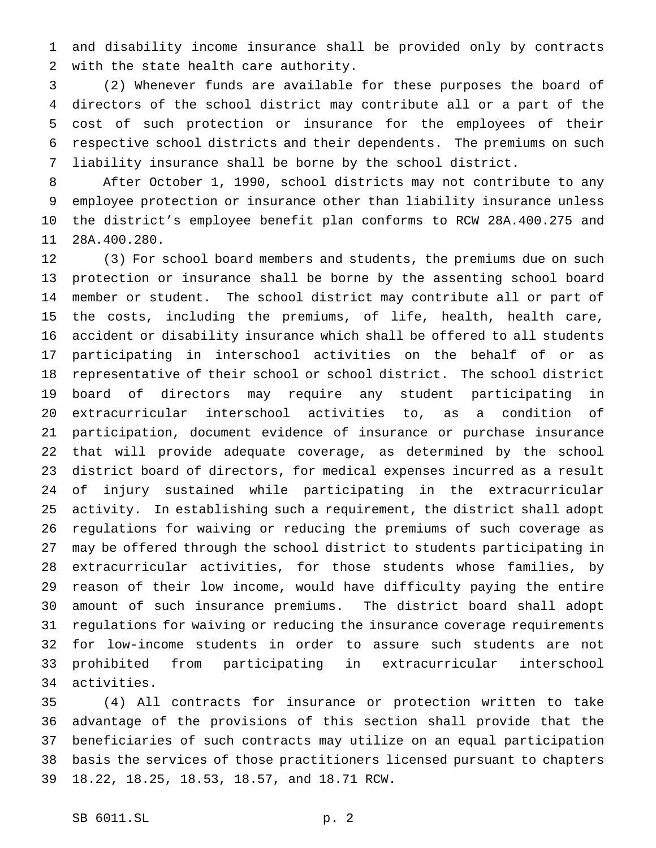and disability income insurance shall be provided only by contracts with the state health care authority.

 (2) Whenever funds are available for these purposes the board of directors of the school district may contribute all or a part of the cost of such protection or insurance for the employees of their respective school districts and their dependents. The premiums on such liability insurance shall be borne by the school district.

 After October 1, 1990, school districts may not contribute to any employee protection or insurance other than liability insurance unless the district's employee benefit plan conforms to RCW 28A.400.275 and 28A.400.280.

 (3) For school board members and students, the premiums due on such protection or insurance shall be borne by the assenting school board member or student. The school district may contribute all or part of the costs, including the premiums, of life, health, health care, accident or disability insurance which shall be offered to all students participating in interschool activities on the behalf of or as representative of their school or school district. The school district board of directors may require any student participating in extracurricular interschool activities to, as a condition of participation, document evidence of insurance or purchase insurance that will provide adequate coverage, as determined by the school district board of directors, for medical expenses incurred as a result of injury sustained while participating in the extracurricular activity. In establishing such a requirement, the district shall adopt regulations for waiving or reducing the premiums of such coverage as may be offered through the school district to students participating in extracurricular activities, for those students whose families, by reason of their low income, would have difficulty paying the entire amount of such insurance premiums. The district board shall adopt regulations for waiving or reducing the insurance coverage requirements for low-income students in order to assure such students are not prohibited from participating in extracurricular interschool activities.

 (4) All contracts for insurance or protection written to take advantage of the provisions of this section shall provide that the beneficiaries of such contracts may utilize on an equal participation basis the services of those practitioners licensed pursuant to chapters 18.22, 18.25, 18.53, 18.57, and 18.71 RCW.